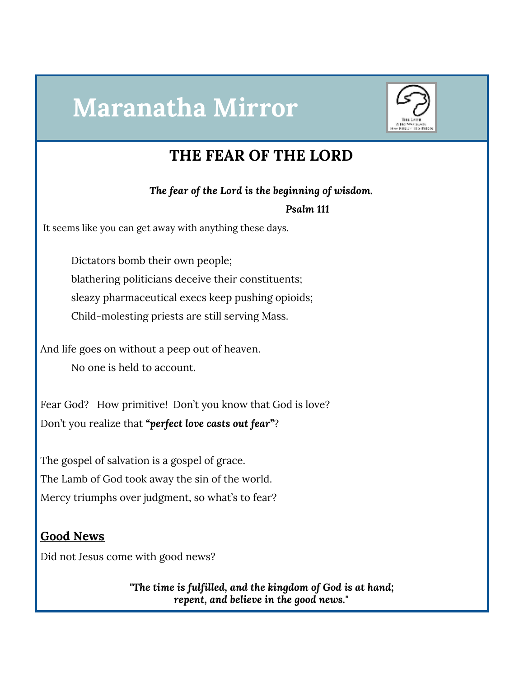# **Maranatha Mirror**



## **THE FEAR OF THE LORD**

*The fear of the Lord is the beginning of wisdom.*

*Psalm 111*

It seems like you can get away with anything these days.

Dictators bomb their own people; blathering politicians deceive their constituents; sleazy pharmaceutical execs keep pushing opioids; Child-molesting priests are still serving Mass.

And life goes on without a peep out of heaven. No one is held to account.

Fear God? How primitive! Don't you know that God is love? Don't you realize that *"perfect love casts out fear"*?

The gospel of salvation is a gospel of grace. The Lamb of God took away the sin of the world. Mercy triumphs over judgment, so what's to fear?

#### **Good News**

Did not Jesus come with good news?

*"The time is fulfilled, and the kingdom of God is at hand; repent, and believe in the good news."*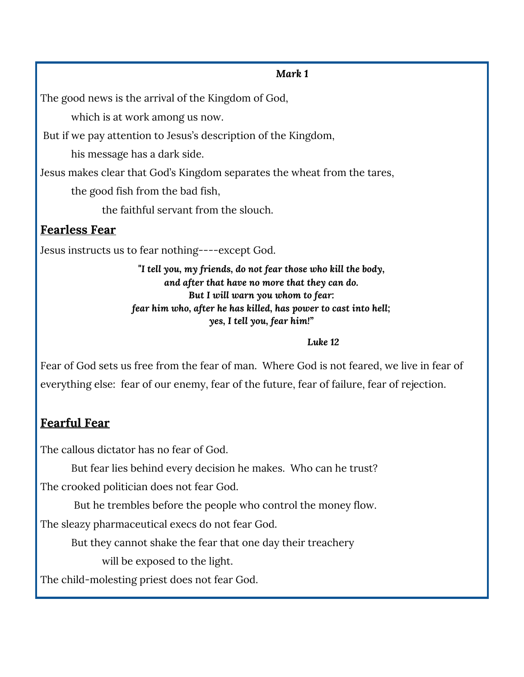#### *Mark 1*

The good news is the arrival of the Kingdom of God,

which is at work among us now.

But if we pay attention to Jesus's description of the Kingdom,

his message has a dark side.

Jesus makes clear that God's Kingdom separates the wheat from the tares,

the good fish from the bad fish,

the faithful servant from the slouch.

#### **Fearless Fear**

Jesus instructs us to fear nothing----except God.

*"I tell you, my friends, do not fear those who kill the body, and after that have no more that they can do. But I will warn you whom to fear: fear him who, after he has killed, has power to cast into hell; yes, I tell you, fear him!"*

#### *Luke 12*

Fear of God sets us free from the fear of man. Where God is not feared, we live in fear of everything else: fear of our enemy, fear of the future, fear of failure, fear of rejection.

## **Fearful Fear**

The callous dictator has no fear of God.

But fear lies behind every decision he makes. Who can he trust?

The crooked politician does not fear God.

But he trembles before the people who control the money flow.

The sleazy pharmaceutical execs do not fear God.

But they cannot shake the fear that one day their treachery

will be exposed to the light.

The child-molesting priest does not fear God.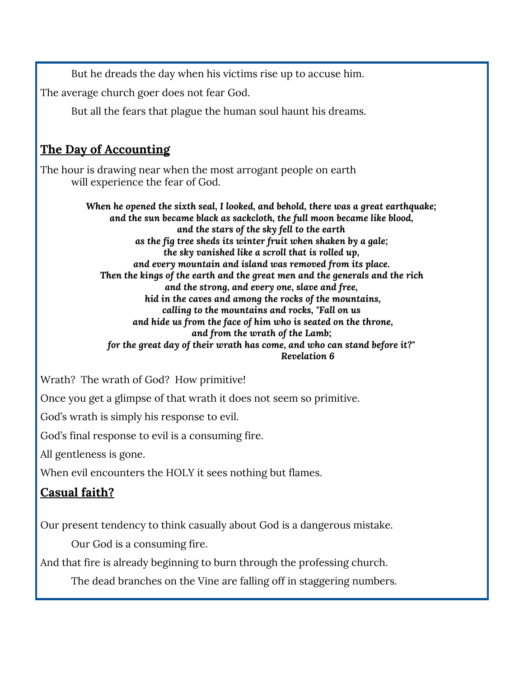But he dreads the day when his victims rise up to accuse him.

The average church goer does not fear God.

But all the fears that plague the human soul haunt his dreams.

### **The Day of Accounting**

The hour is drawing near when the most arrogant people on earth will experience the fear of God.

> *When he opened the sixth seal, I looked, and behold, there was a great earthquake; and the sun became black as sackcloth, the full moon became like blood, and the stars of the sky fell to the earth as the fig tree sheds its winter fruit when shaken by a gale; the sky vanished like a scroll that is rolled up, and every mountain and island was removed from its place. Then the kings of the earth and the great men and the generals and the rich and the strong, and every one, slave and free, hid in the caves and among the rocks of the mountains, calling to the mountains and rocks, "Fall on us and hide us from the face of him who is seated on the throne, and from the wrath of the Lamb; for the great day of their wrath has come, and who can stand before it?" Revelation 6*

Wrath? The wrath of God? How primitive!

Once you get a glimpse of that wrath it does not seem so primitive.

God's wrath is simply his response to evil.

God's final response to evil is a consuming fire.

All gentleness is gone.

When evil encounters the HOLY it sees nothing but flames.

#### **Casual faith?**

Our present tendency to think casually about God is a dangerous mistake.

Our God is a consuming fire.

And that fire is already beginning to burn through the professing church.

The dead branches on the Vine are falling off in staggering numbers.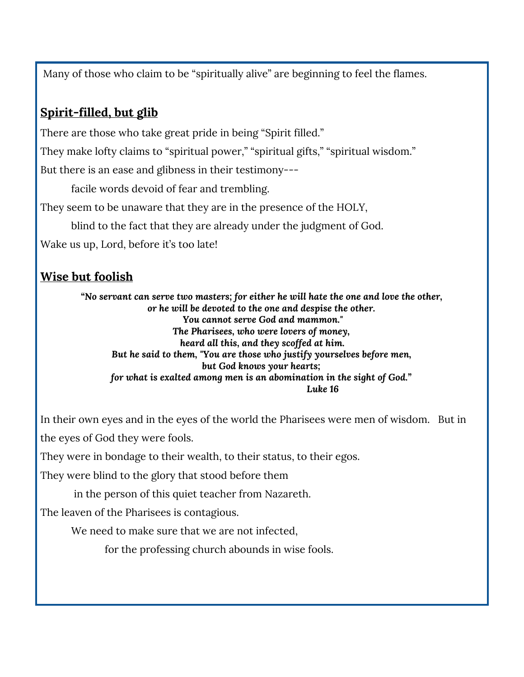Many of those who claim to be "spiritually alive" are beginning to feel the flames.

## **Spirit-filled, but glib**

There are those who take great pride in being "Spirit filled."

They make lofty claims to "spiritual power," "spiritual gifts," "spiritual wisdom."

But there is an ease and glibness in their testimony---

facile words devoid of fear and trembling.

They seem to be unaware that they are in the presence of the HOLY,

blind to the fact that they are already under the judgment of God.

Wake us up, Lord, before it's too late!

#### **Wise but foolish**

*"No servant can serve two masters; for either he will hate the one and love the other, or he will be devoted to the one and despise the other. You cannot serve God and mammon." The Pharisees, who were lovers of money, heard all this, and they scoffed at him. But he said to them, "You are those who justify yourselves before men, but God knows your hearts; for what is exalted among men is an abomination in the sight of God." Luke 16*

In their own eyes and in the eyes of the world the Pharisees were men of wisdom. But in the eyes of God they were fools.

They were in bondage to their wealth, to their status, to their egos.

They were blind to the glory that stood before them

in the person of this quiet teacher from Nazareth.

The leaven of the Pharisees is contagious.

We need to make sure that we are not infected,

for the professing church abounds in wise fools.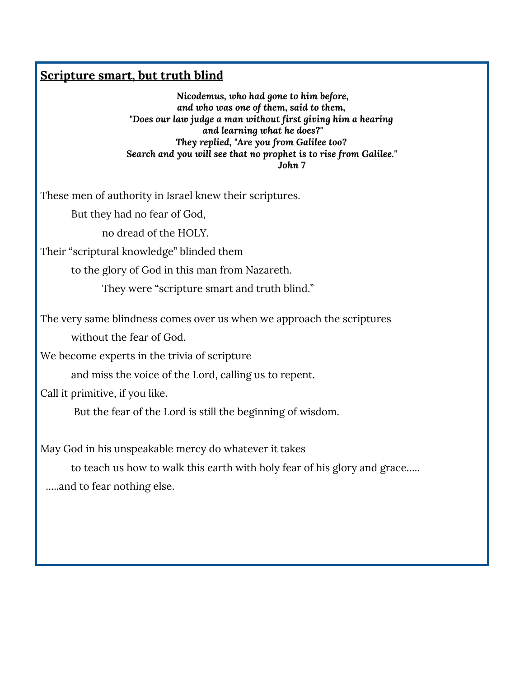#### **Scripture smart, but truth blind**

*Nicodemus, who had gone to him before, and who was one of them, said to them, "Does our law judge a man without first giving him a hearing and learning what he does?" They replied, "Are you from Galilee too? Search and you will see that no prophet is to rise from Galilee." John 7*

These men of authority in Israel knew their scriptures.

But they had no fear of God,

no dread of the HOLY.

Their "scriptural knowledge" blinded them

to the glory of God in this man from Nazareth.

They were "scripture smart and truth blind."

The very same blindness comes over us when we approach the scriptures

without the fear of God.

We become experts in the trivia of scripture

and miss the voice of the Lord, calling us to repent.

Call it primitive, if you like.

But the fear of the Lord is still the beginning of wisdom.

May God in his unspeakable mercy do whatever it takes

to teach us how to walk this earth with holy fear of his glory and grace….. …..and to fear nothing else.